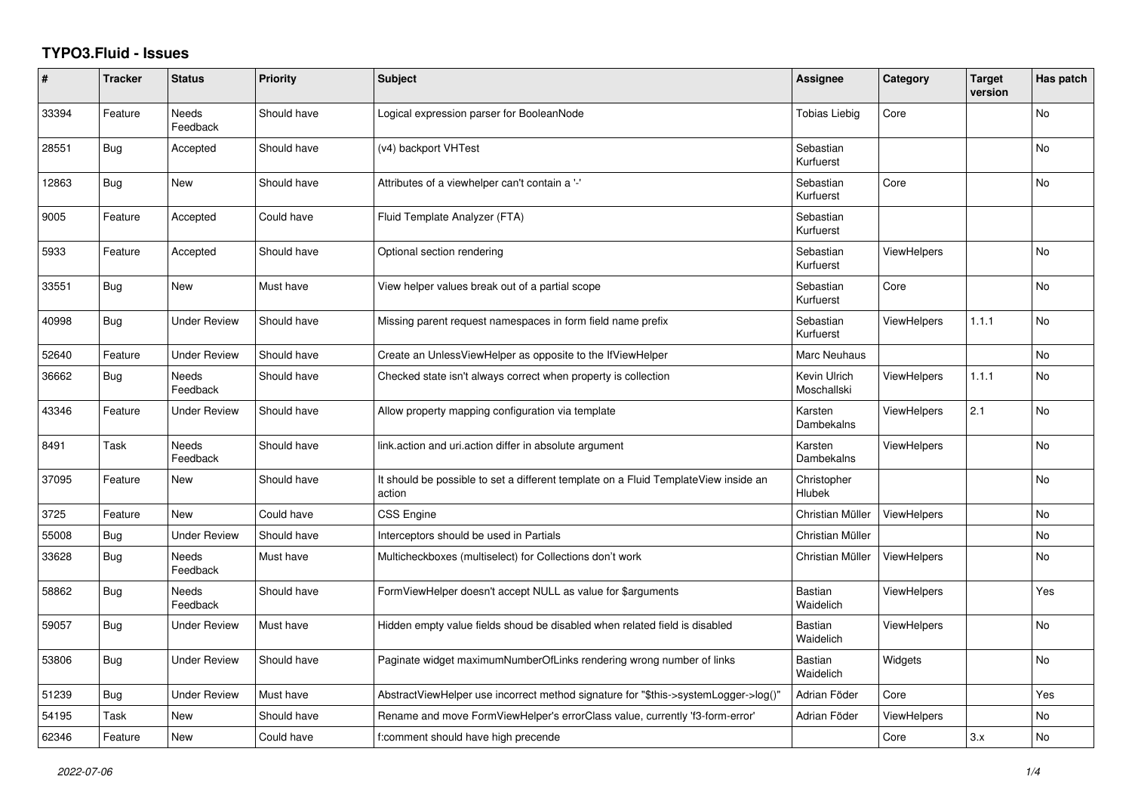## **TYPO3.Fluid - Issues**

| #     | <b>Tracker</b> | <b>Status</b>            | Priority    | <b>Subject</b>                                                                                | <b>Assignee</b>             | Category           | <b>Target</b><br>version | Has patch |
|-------|----------------|--------------------------|-------------|-----------------------------------------------------------------------------------------------|-----------------------------|--------------------|--------------------------|-----------|
| 33394 | Feature        | Needs<br>Feedback        | Should have | Logical expression parser for BooleanNode                                                     | Tobias Liebig               | Core               |                          | No        |
| 28551 | <b>Bug</b>     | Accepted                 | Should have | (v4) backport VHTest                                                                          | Sebastian<br>Kurfuerst      |                    |                          | No        |
| 12863 | Bug            | New                      | Should have | Attributes of a viewhelper can't contain a '-'                                                | Sebastian<br>Kurfuerst      | Core               |                          | No        |
| 9005  | Feature        | Accepted                 | Could have  | Fluid Template Analyzer (FTA)                                                                 | Sebastian<br>Kurfuerst      |                    |                          |           |
| 5933  | Feature        | Accepted                 | Should have | Optional section rendering                                                                    | Sebastian<br>Kurfuerst      | <b>ViewHelpers</b> |                          | <b>No</b> |
| 33551 | <b>Bug</b>     | New                      | Must have   | View helper values break out of a partial scope                                               | Sebastian<br>Kurfuerst      | Core               |                          | <b>No</b> |
| 40998 | <b>Bug</b>     | <b>Under Review</b>      | Should have | Missing parent request namespaces in form field name prefix                                   | Sebastian<br>Kurfuerst      | <b>ViewHelpers</b> | 1.1.1                    | No        |
| 52640 | Feature        | <b>Under Review</b>      | Should have | Create an UnlessViewHelper as opposite to the IfViewHelper                                    | Marc Neuhaus                |                    |                          | <b>No</b> |
| 36662 | <b>Bug</b>     | <b>Needs</b><br>Feedback | Should have | Checked state isn't always correct when property is collection                                | Kevin Ulrich<br>Moschallski | <b>ViewHelpers</b> | 1.1.1                    | <b>No</b> |
| 43346 | Feature        | Under Review             | Should have | Allow property mapping configuration via template                                             | Karsten<br>Dambekalns       | <b>ViewHelpers</b> | 2.1                      | No        |
| 8491  | Task           | Needs<br>Feedback        | Should have | link.action and uri.action differ in absolute argument                                        | Karsten<br>Dambekalns       | <b>ViewHelpers</b> |                          | No        |
| 37095 | Feature        | New                      | Should have | It should be possible to set a different template on a Fluid TemplateView inside an<br>action | Christopher<br>Hlubek       |                    |                          | No        |
| 3725  | Feature        | <b>New</b>               | Could have  | <b>CSS Engine</b>                                                                             | Christian Müller            | <b>ViewHelpers</b> |                          | <b>No</b> |
| 55008 | Bug            | <b>Under Review</b>      | Should have | Interceptors should be used in Partials                                                       | Christian Müller            |                    |                          | No        |
| 33628 | <b>Bug</b>     | Needs<br>Feedback        | Must have   | Multicheckboxes (multiselect) for Collections don't work                                      | Christian Müller            | ViewHelpers        |                          | No        |
| 58862 | <b>Bug</b>     | Needs<br>Feedback        | Should have | FormViewHelper doesn't accept NULL as value for \$arguments                                   | <b>Bastian</b><br>Waidelich | <b>ViewHelpers</b> |                          | Yes       |
| 59057 | <b>Bug</b>     | <b>Under Review</b>      | Must have   | Hidden empty value fields shoud be disabled when related field is disabled                    | <b>Bastian</b><br>Waidelich | <b>ViewHelpers</b> |                          | <b>No</b> |
| 53806 | <b>Bug</b>     | <b>Under Review</b>      | Should have | Paginate widget maximumNumberOfLinks rendering wrong number of links                          | <b>Bastian</b><br>Waidelich | Widgets            |                          | No        |
| 51239 | Bug            | <b>Under Review</b>      | Must have   | AbstractViewHelper use incorrect method signature for "\$this->systemLogger->log()"           | Adrian Föder                | Core               |                          | Yes       |
| 54195 | Task           | New                      | Should have | Rename and move FormViewHelper's errorClass value, currently 'f3-form-error'                  | Adrian Föder                | <b>ViewHelpers</b> |                          | No        |
| 62346 | Feature        | New                      | Could have  | f:comment should have high precende                                                           |                             | Core               | 3.x                      | No        |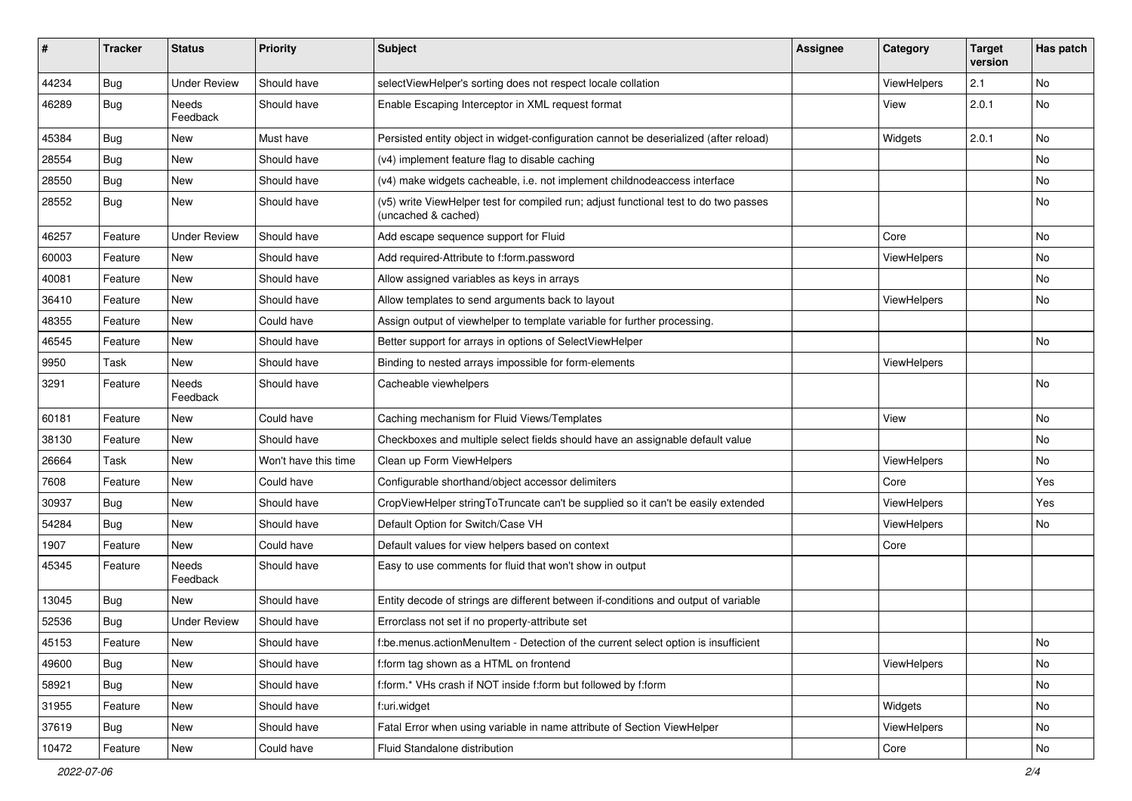| #     | <b>Tracker</b> | <b>Status</b>       | <b>Priority</b>      | Subject                                                                                                     | <b>Assignee</b> | Category           | <b>Target</b><br>version | Has patch                    |
|-------|----------------|---------------------|----------------------|-------------------------------------------------------------------------------------------------------------|-----------------|--------------------|--------------------------|------------------------------|
| 44234 | Bug            | <b>Under Review</b> | Should have          | selectViewHelper's sorting does not respect locale collation                                                |                 | ViewHelpers        | 2.1                      | No                           |
| 46289 | Bug            | Needs<br>Feedback   | Should have          | Enable Escaping Interceptor in XML request format                                                           |                 | View               | 2.0.1                    | No                           |
| 45384 | Bug            | New                 | Must have            | Persisted entity object in widget-configuration cannot be deserialized (after reload)                       |                 | Widgets            | 2.0.1                    | No                           |
| 28554 | Bug            | New                 | Should have          | (v4) implement feature flag to disable caching                                                              |                 |                    |                          | No                           |
| 28550 | <b>Bug</b>     | New                 | Should have          | (v4) make widgets cacheable, i.e. not implement childnodeaccess interface                                   |                 |                    |                          | No.                          |
| 28552 | Bug            | New                 | Should have          | (v5) write ViewHelper test for compiled run; adjust functional test to do two passes<br>(uncached & cached) |                 |                    |                          | No                           |
| 46257 | Feature        | <b>Under Review</b> | Should have          | Add escape sequence support for Fluid                                                                       |                 | Core               |                          | No                           |
| 60003 | Feature        | New                 | Should have          | Add required-Attribute to f:form.password                                                                   |                 | <b>ViewHelpers</b> |                          | No                           |
| 40081 | Feature        | New                 | Should have          | Allow assigned variables as keys in arrays                                                                  |                 |                    |                          | No                           |
| 36410 | Feature        | New                 | Should have          | Allow templates to send arguments back to layout                                                            |                 | ViewHelpers        |                          | No                           |
| 48355 | Feature        | New                 | Could have           | Assign output of viewhelper to template variable for further processing.                                    |                 |                    |                          |                              |
| 46545 | Feature        | New                 | Should have          | Better support for arrays in options of SelectViewHelper                                                    |                 |                    |                          | No                           |
| 9950  | Task           | New                 | Should have          | Binding to nested arrays impossible for form-elements                                                       |                 | <b>ViewHelpers</b> |                          |                              |
| 3291  | Feature        | Needs<br>Feedback   | Should have          | Cacheable viewhelpers                                                                                       |                 |                    |                          | No                           |
| 60181 | Feature        | New                 | Could have           | Caching mechanism for Fluid Views/Templates                                                                 |                 | View               |                          | No                           |
| 38130 | Feature        | New                 | Should have          | Checkboxes and multiple select fields should have an assignable default value                               |                 |                    |                          | No                           |
| 26664 | Task           | New                 | Won't have this time | Clean up Form ViewHelpers                                                                                   |                 | ViewHelpers        |                          | No                           |
| 7608  | Feature        | New                 | Could have           | Configurable shorthand/object accessor delimiters                                                           |                 | Core               |                          | Yes                          |
| 30937 | Bug            | New                 | Should have          | CropViewHelper stringToTruncate can't be supplied so it can't be easily extended                            |                 | ViewHelpers        |                          | Yes                          |
| 54284 | Bug            | New                 | Should have          | Default Option for Switch/Case VH                                                                           |                 | ViewHelpers        |                          | No                           |
| 1907  | Feature        | New                 | Could have           | Default values for view helpers based on context                                                            |                 | Core               |                          |                              |
| 45345 | Feature        | Needs<br>Feedback   | Should have          | Easy to use comments for fluid that won't show in output                                                    |                 |                    |                          |                              |
| 13045 | Bug            | New                 | Should have          | Entity decode of strings are different between if-conditions and output of variable                         |                 |                    |                          |                              |
| 52536 | <b>Bug</b>     | <b>Under Review</b> | Should have          | Errorclass not set if no property-attribute set                                                             |                 |                    |                          |                              |
| 45153 | Feature        | New                 | Should have          | f:be.menus.actionMenuItem - Detection of the current select option is insufficient                          |                 |                    |                          | $\operatorname{\mathsf{No}}$ |
| 49600 | <b>Bug</b>     | New                 | Should have          | f:form tag shown as a HTML on frontend                                                                      |                 | ViewHelpers        |                          | No                           |
| 58921 | <b>Bug</b>     | New                 | Should have          | f:form.* VHs crash if NOT inside f:form but followed by f:form                                              |                 |                    |                          | No                           |
| 31955 | Feature        | New                 | Should have          | f:uri.widget                                                                                                |                 | Widgets            |                          | No                           |
| 37619 | Bug            | New                 | Should have          | Fatal Error when using variable in name attribute of Section ViewHelper                                     |                 | ViewHelpers        |                          | No                           |
| 10472 | Feature        | New                 | Could have           | Fluid Standalone distribution                                                                               |                 | Core               |                          | No                           |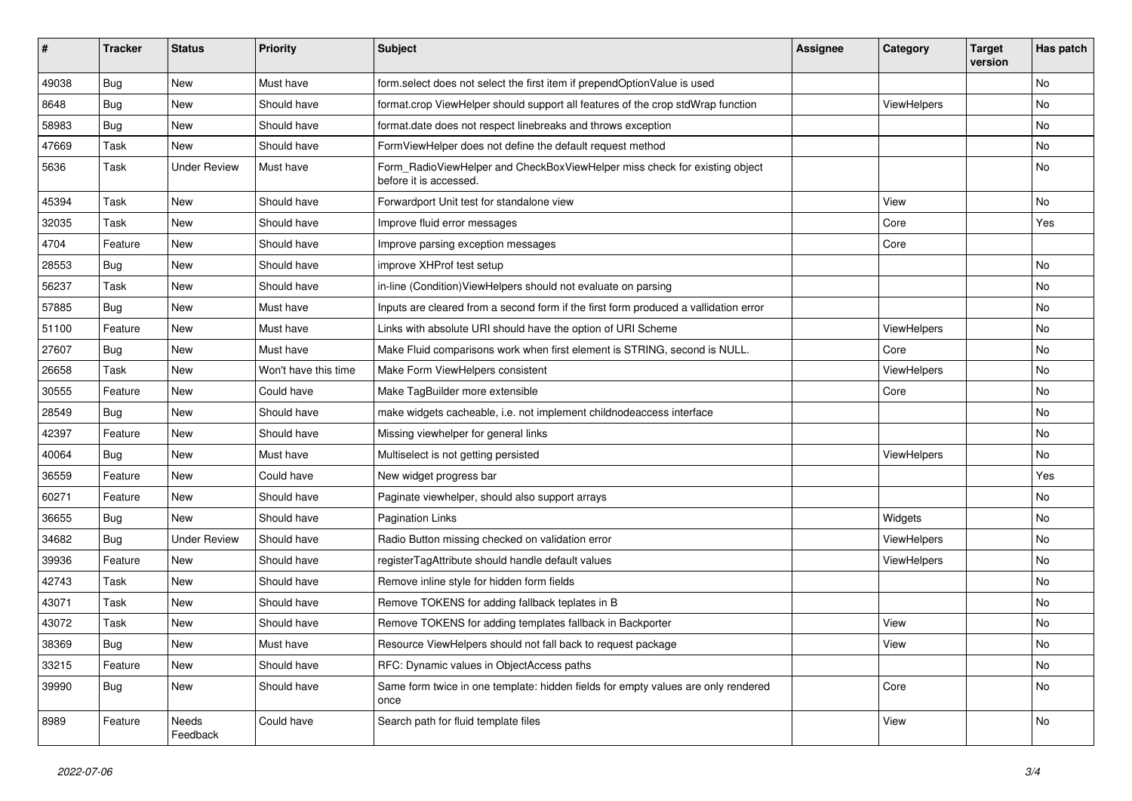| #     | <b>Tracker</b> | <b>Status</b>       | <b>Priority</b>      | Subject                                                                                              | <b>Assignee</b> | Category    | <b>Target</b><br>version | Has patch |
|-------|----------------|---------------------|----------------------|------------------------------------------------------------------------------------------------------|-----------------|-------------|--------------------------|-----------|
| 49038 | Bug            | New                 | Must have            | form.select does not select the first item if prependOptionValue is used                             |                 |             |                          | <b>No</b> |
| 8648  | Bug            | New                 | Should have          | format.crop ViewHelper should support all features of the crop stdWrap function                      |                 | ViewHelpers |                          | No        |
| 58983 | Bug            | New                 | Should have          | format.date does not respect linebreaks and throws exception                                         |                 |             |                          | No        |
| 47669 | Task           | New                 | Should have          | FormViewHelper does not define the default request method                                            |                 |             |                          | <b>No</b> |
| 5636  | Task           | <b>Under Review</b> | Must have            | Form_RadioViewHelper and CheckBoxViewHelper miss check for existing object<br>before it is accessed. |                 |             |                          | No        |
| 45394 | Task           | New                 | Should have          | Forwardport Unit test for standalone view                                                            |                 | View        |                          | No        |
| 32035 | Task           | New                 | Should have          | Improve fluid error messages                                                                         |                 | Core        |                          | Yes       |
| 4704  | Feature        | New                 | Should have          | Improve parsing exception messages                                                                   |                 | Core        |                          |           |
| 28553 | Bug            | New                 | Should have          | improve XHProf test setup                                                                            |                 |             |                          | No        |
| 56237 | Task           | New                 | Should have          | in-line (Condition) View Helpers should not evaluate on parsing                                      |                 |             |                          | No        |
| 57885 | Bug            | New                 | Must have            | Inputs are cleared from a second form if the first form produced a vallidation error                 |                 |             |                          | No        |
| 51100 | Feature        | New                 | Must have            | Links with absolute URI should have the option of URI Scheme                                         |                 | ViewHelpers |                          | No        |
| 27607 | Bug            | <b>New</b>          | Must have            | Make Fluid comparisons work when first element is STRING, second is NULL.                            |                 | Core        |                          | <b>No</b> |
| 26658 | Task           | New                 | Won't have this time | Make Form ViewHelpers consistent                                                                     |                 | ViewHelpers |                          | No        |
| 30555 | Feature        | New                 | Could have           | Make TagBuilder more extensible                                                                      |                 | Core        |                          | No        |
| 28549 | Bug            | New                 | Should have          | make widgets cacheable, i.e. not implement childnodeaccess interface                                 |                 |             |                          | No        |
| 42397 | Feature        | New                 | Should have          | Missing viewhelper for general links                                                                 |                 |             |                          | No        |
| 40064 | Bug            | New                 | Must have            | Multiselect is not getting persisted                                                                 |                 | ViewHelpers |                          | No        |
| 36559 | Feature        | New                 | Could have           | New widget progress bar                                                                              |                 |             |                          | Yes       |
| 60271 | Feature        | <b>New</b>          | Should have          | Paginate viewhelper, should also support arrays                                                      |                 |             |                          | No        |
| 36655 | Bug            | New                 | Should have          | <b>Pagination Links</b>                                                                              |                 | Widgets     |                          | No        |
| 34682 | Bug            | <b>Under Review</b> | Should have          | Radio Button missing checked on validation error                                                     |                 | ViewHelpers |                          | No        |
| 39936 | Feature        | New                 | Should have          | registerTagAttribute should handle default values                                                    |                 | ViewHelpers |                          | No        |
| 42743 | Task           | New                 | Should have          | Remove inline style for hidden form fields                                                           |                 |             |                          | No        |
| 43071 | Task           | New                 | Should have          | Remove TOKENS for adding fallback teplates in B                                                      |                 |             |                          | No        |
| 43072 | Task           | New                 | Should have          | Remove TOKENS for adding templates fallback in Backporter                                            |                 | View        |                          | No        |
| 38369 | <b>Bug</b>     | New                 | Must have            | Resource ViewHelpers should not fall back to request package                                         |                 | View        |                          | No        |
| 33215 | Feature        | New                 | Should have          | RFC: Dynamic values in ObjectAccess paths                                                            |                 |             |                          | No        |
| 39990 | <b>Bug</b>     | New                 | Should have          | Same form twice in one template: hidden fields for empty values are only rendered<br>once            |                 | Core        |                          | No        |
| 8989  | Feature        | Needs<br>Feedback   | Could have           | Search path for fluid template files                                                                 |                 | View        |                          | No        |